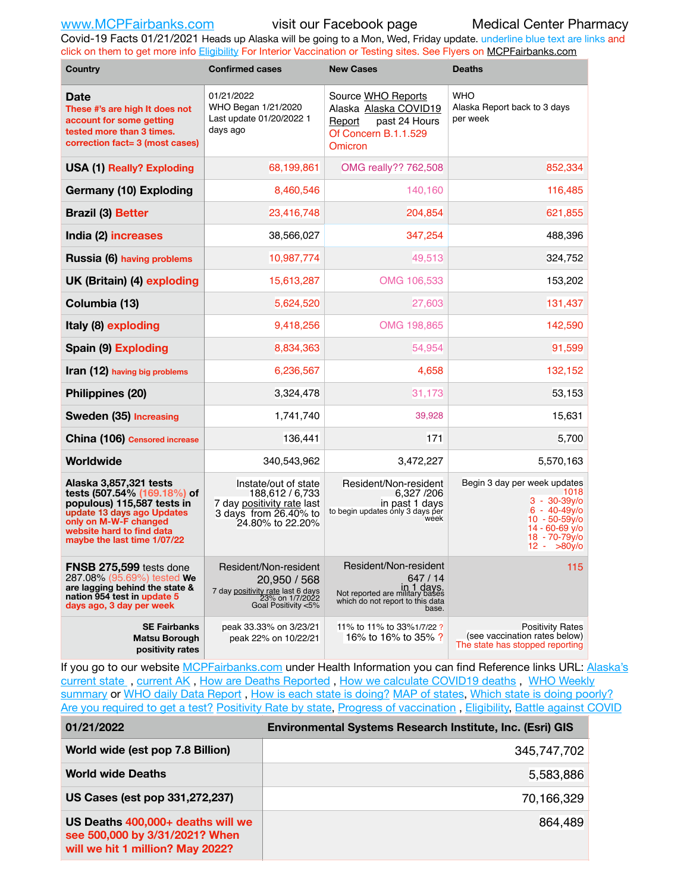Covid-19 Facts 01/21/2021 Heads up Alaska will be going to a Mon, Wed, Friday update. underline blue text are links and click on them to get more info [Eligibility](http://dhss.alaska.gov/dph/Epi/id/Pages/COVID-19/VaccineAvailability.aspx) For Interior Vaccination or Testing sites. See Flyers on [MCPFairbanks.com](http://www.MCPFairbanks.com)

| <b>Country</b>                                                                                                                                                                                         | <b>Confirmed cases</b>                                                                                               | <b>New Cases</b>                                                                                                                | <b>Deaths</b>                                                                                                                                           |  |  |  |
|--------------------------------------------------------------------------------------------------------------------------------------------------------------------------------------------------------|----------------------------------------------------------------------------------------------------------------------|---------------------------------------------------------------------------------------------------------------------------------|---------------------------------------------------------------------------------------------------------------------------------------------------------|--|--|--|
| <b>Date</b><br>These #'s are high It does not<br>account for some getting<br>tested more than 3 times.<br>correction fact= 3 (most cases)                                                              | 01/21/2022<br>WHO Began 1/21/2020<br>Last update 01/20/2022 1<br>days ago                                            | Source WHO Reports<br>Alaska Alaska COVID19<br>Report<br>past 24 Hours<br>Of Concern B.1.1.529<br><b>Omicron</b>                | <b>WHO</b><br>Alaska Report back to 3 days<br>per week                                                                                                  |  |  |  |
| <b>USA (1) Really? Exploding</b>                                                                                                                                                                       | 68,199,861                                                                                                           | OMG really?? 762,508                                                                                                            | 852,334                                                                                                                                                 |  |  |  |
| <b>Germany (10) Exploding</b>                                                                                                                                                                          | 8,460,546                                                                                                            | 140,160                                                                                                                         | 116,485                                                                                                                                                 |  |  |  |
| <b>Brazil (3) Better</b>                                                                                                                                                                               | 23,416,748                                                                                                           | 204,854                                                                                                                         | 621,855                                                                                                                                                 |  |  |  |
| India (2) increases                                                                                                                                                                                    | 38,566,027                                                                                                           | 347,254                                                                                                                         | 488,396                                                                                                                                                 |  |  |  |
| Russia (6) having problems                                                                                                                                                                             | 10,987,774                                                                                                           | 49,513                                                                                                                          | 324,752                                                                                                                                                 |  |  |  |
| UK (Britain) (4) exploding                                                                                                                                                                             | 15,613,287                                                                                                           | OMG 106,533                                                                                                                     | 153,202                                                                                                                                                 |  |  |  |
| Columbia (13)                                                                                                                                                                                          | 5,624,520                                                                                                            | 27,603                                                                                                                          | 131,437                                                                                                                                                 |  |  |  |
| Italy (8) exploding                                                                                                                                                                                    | 9,418,256                                                                                                            | OMG 198,865                                                                                                                     | 142,590                                                                                                                                                 |  |  |  |
| Spain (9) Exploding                                                                                                                                                                                    | 8,834,363                                                                                                            | 54,954                                                                                                                          | 91,599                                                                                                                                                  |  |  |  |
| Iran (12) having big problems                                                                                                                                                                          | 6,236,567                                                                                                            | 4,658                                                                                                                           | 132,152                                                                                                                                                 |  |  |  |
| Philippines (20)                                                                                                                                                                                       | 3,324,478                                                                                                            | 31,173                                                                                                                          | 53,153                                                                                                                                                  |  |  |  |
| Sweden (35) Increasing                                                                                                                                                                                 | 1,741,740                                                                                                            | 39,928                                                                                                                          | 15,631                                                                                                                                                  |  |  |  |
| China (106) Censored increase                                                                                                                                                                          | 136,441                                                                                                              | 171                                                                                                                             | 5,700                                                                                                                                                   |  |  |  |
| Worldwide                                                                                                                                                                                              | 340,543,962                                                                                                          | 3,472,227                                                                                                                       | 5,570,163                                                                                                                                               |  |  |  |
| Alaska 3,857,321 tests<br>tests (507.54% (169.18%) of<br>populous) 115,587 tests in<br>update 13 days ago Updates<br>only on M-W-F changed<br>website hard to find data<br>maybe the last time 1/07/22 | Instate/out of state<br>188,612 / 6,733<br>7 day positivity rate last<br>3 days from 26.40% to<br>24.80% to 22.20%   | Resident/Non-resident<br>6,327 /206<br>in past 1 days<br>to begin updates only 3 days per<br>week                               | Begin 3 day per week updates<br>1018<br>$3 - 30 - 39$ y/o<br>$6 - 40 - 49$ y/o<br>$10 - 50 - 59y/o$<br>14 - 60-69 v/o<br>18 - 70-79y/o<br>$12 - 80y$ /o |  |  |  |
| FNSB 275,599 tests done<br>287.08% (95.69%) tested We<br>are lagging behind the state &<br>nation 954 test in update 5<br>days ago, 3 day per week                                                     | Resident/Non-resident<br>20,950 / 568<br>7 day positivity rate last 6 days<br>23% on 1/7/2022<br>Goal Positivity <5% | Resident/Non-resident<br>647 / 14<br>in 1 days.<br>Not reported are military bases<br>which do not report to this data<br>base. | 115                                                                                                                                                     |  |  |  |
| <b>SE Fairbanks</b><br><b>Matsu Borough</b><br>positivity rates                                                                                                                                        | peak 33.33% on 3/23/21<br>peak 22% on 10/22/21                                                                       | 11% to 11% to 33%1/7/22?<br>16% to 16% to 35% ?                                                                                 | <b>Positivity Rates</b><br>(see vaccination rates below)<br>The state has stopped reporting                                                             |  |  |  |

If you go to our website [MCPFairbanks.com](http://www.MCPFairbanks.com) under Health Information you can find Reference links URL: Alaska's current state, current AK, [How are Deaths Reported](http://dhss.alaska.gov/dph/Epi/id/Pages/COVID-19/deathcounts.aspx), [How we calculate COVID19 deaths](https://coronavirus-response-alaska-dhss.hub.arcgis.com/search?collection=Document&groupIds=41ccb3344ebc4bd682c74073eba21f42), WHO Weekly [summary](http://www.who.int) or [WHO daily Data Report](https://covid19.who.int/table), [How is each state is doing?](https://www.msn.com/en-us/news/us/state-by-state-coronavirus-news/ar-BB13E1PX?fbclid=IwAR0_OBJH7lSyTN3ug_MsOeFnNgB1orTa9OBgilKJ7dhnwlVvHEsptuKkj1c) [MAP of states,](https://www.nationalgeographic.com/science/graphics/graphic-tracking-coronavirus-infections-us?cmpid=org=ngp::mc=crm-email::src=ngp::cmp=editorial::add=SpecialEdition_20210305&rid=B9A6DF5992658E8E35CE023113CFEA4C) [Which state is doing poorly?](https://bestlifeonline.com/covid-outbreak-your-state/?utm_source=nsltr&utm_medium=email&utm_content=covid-outbreak-your-state&utm_campaign=launch) [Are you required to get a test?](http://dhss.alaska.gov/dph/Epi/id/SiteAssets/Pages/HumanCoV/Whattodoafteryourtest.pdf) [Positivity Rate by state](https://coronavirus.jhu.edu/testing/individual-states/alaska), Progress of vaccination, [Eligibility,](http://dhss.alaska.gov/dph/Epi/id/Pages/COVID-19/VaccineAvailability.aspx) [Battle against COVID](https://www.nationalgeographic.com/science/graphics/graphic-tracking-coronavirus-infections-us?cmpid=org=ngp::mc=crm-email::src=ngp::cmp=editorial::add=SpecialEdition_20210219&rid=B9A6DF5992658E8E35CE023113CFEA4C)

| 01/21/2022                                                                                              | <b>Environmental Systems Research Institute, Inc. (Esri) GIS</b> |
|---------------------------------------------------------------------------------------------------------|------------------------------------------------------------------|
| World wide (est pop 7.8 Billion)                                                                        | 345,747,702                                                      |
| <b>World wide Deaths</b>                                                                                | 5,583,886                                                        |
| US Cases (est pop 331,272,237)                                                                          | 70,166,329                                                       |
| US Deaths 400,000+ deaths will we<br>see 500,000 by 3/31/2021? When<br>will we hit 1 million? May 2022? | 864,489                                                          |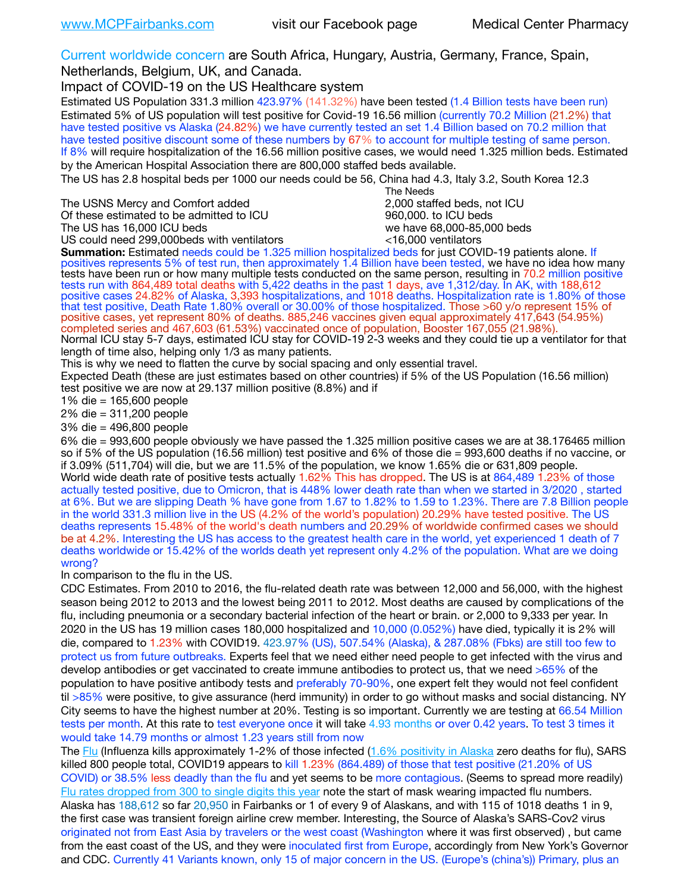Current worldwide concern are South Africa, Hungary, Austria, Germany, France, Spain,

Netherlands, Belgium, UK, and Canada.

Impact of COVID-19 on the US Healthcare system

Estimated US Population 331.3 million 423.97% (141.32%) have been tested (1.4 Billion tests have been run) Estimated 5% of US population will test positive for Covid-19 16.56 million (currently 70.2 Million (21.2%) that have tested positive vs Alaska (24.82%) we have currently tested an set 1.4 Billion based on 70.2 million that have tested positive discount some of these numbers by 67% to account for multiple testing of same person. If 8% will require hospitalization of the 16.56 million positive cases, we would need 1.325 million beds. Estimated by the American Hospital Association there are 800,000 staffed beds available.

The US has 2.8 hospital beds per 1000 our needs could be 56, China had 4.3, Italy 3.2, South Korea 12.3

The USNS Mercy and Comfort added Of these estimated to be admitted to ICU 860,000. to ICU beds

The US has 16,000 ICU beds we have 68,000-85,000 beds

US could need 299,000 beds with ventilators  $\sim$  16,000 ventilators

The Needs<br>2,000 staffed beds, not ICU

**Summation:** Estimated needs could be 1.325 million hospitalized beds for just COVID-19 patients alone. If positives represents 5% of test run, then approximately 1.4 Billion have been tested, we have no idea how many tests have been run or how many multiple tests conducted on the same person, resulting in 70.2 million positive tests run with 864,489 total deaths with 5,422 deaths in the past 1 days, ave 1,312/day. In AK, with 188,612 positive cases 24.82% of Alaska, 3,393 hospitalizations, and 1018 deaths. Hospitalization rate is 1.80% of those that test positive, Death Rate 1.80% overall or 30.00% of those hospitalized. Those >60 y/o represent 15% of positive cases, yet represent 80% of deaths. 885,246 vaccines given equal approximately 417,643 (54.95%) completed series and 467,603 (61.53%) vaccinated once of population, Booster 167,055 (21.98%). Normal ICU stay 5-7 days, estimated ICU stay for COVID-19 2-3 weeks and they could tie up a ventilator for that

length of time also, helping only 1/3 as many patients.

This is why we need to flatten the curve by social spacing and only essential travel.

Expected Death (these are just estimates based on other countries) if 5% of the US Population (16.56 million) test positive we are now at 29.137 million positive (8.8%) and if

1% die = 165,600 people

2% die = 311,200 people

3% die = 496,800 people

6% die = 993,600 people obviously we have passed the 1.325 million positive cases we are at 38.176465 million so if 5% of the US population (16.56 million) test positive and 6% of those die = 993,600 deaths if no vaccine, or if 3.09% (511,704) will die, but we are 11.5% of the population, we know 1.65% die or 631,809 people. World wide death rate of positive tests actually 1.62% This has dropped. The US is at 864,489 1.23% of those actually tested positive, due to Omicron, that is 448% lower death rate than when we started in 3/2020 , started at 6%. But we are slipping Death % have gone from 1.67 to 1.82% to 1.59 to 1.23%. There are 7.8 Billion people in the world 331.3 million live in the US (4.2% of the world's population) 20.29% have tested positive. The US deaths represents 15.48% of the world's death numbers and 20.29% of worldwide confirmed cases we should be at 4.2%. Interesting the US has access to the greatest health care in the world, yet experienced 1 death of 7 deaths worldwide or 15.42% of the worlds death yet represent only 4.2% of the population. What are we doing wrong?

In comparison to the flu in the US.

CDC Estimates. From 2010 to 2016, the flu-related death rate was between 12,000 and 56,000, with the highest season being 2012 to 2013 and the lowest being 2011 to 2012. Most deaths are caused by complications of the flu, including pneumonia or a secondary bacterial infection of the heart or brain. or 2,000 to 9,333 per year. In 2020 in the US has 19 million cases 180,000 hospitalized and 10,000 (0.052%) have died, typically it is 2% will die, compared to 1.23% with COVID19. 423.97% (US), 507.54% (Alaska), & 287.08% (Fbks) are still too few to protect us from future outbreaks. Experts feel that we need either need people to get infected with the virus and develop antibodies or get vaccinated to create immune antibodies to protect us, that we need >65% of the population to have positive antibody tests and preferably 70-90%, one expert felt they would not feel confident til >85% were positive, to give assurance (herd immunity) in order to go without masks and social distancing. NY City seems to have the highest number at 20%. Testing is so important. Currently we are testing at 66.54 Million tests per month. At this rate to test everyone once it will take 4.93 months or over 0.42 years. To test 3 times it would take 14.79 months or almost 1.23 years still from now

The [Flu](https://lnks.gd/l/eyJhbGciOiJIUzI1NiJ9.eyJidWxsZXRpbl9saW5rX2lkIjoxMDMsInVyaSI6ImJwMjpjbGljayIsImJ1bGxldGluX2lkIjoiMjAyMTAyMjYuMzYwNDA3NTEiLCJ1cmwiOiJodHRwczovL3d3dy5jZGMuZ292L2ZsdS93ZWVrbHkvb3ZlcnZpZXcuaHRtIn0.ePMA_hsZ-pTnhWSyg1gHvHWYTu2XceVOt0JejxvP1WE/s/500544915/br/98428119752-l) (Influenza kills approximately 1-2% of those infected ([1.6% positivity in Alaska](http://dhss.alaska.gov/dph/Epi/id/SiteAssets/Pages/influenza/trends/Snapshot.pdf) zero deaths for flu), SARS killed 800 people total, COVID19 appears to kill 1.23% (864.489) of those that test positive (21.20% of US COVID) or 38.5% less deadly than the flu and yet seems to be more contagious. (Seems to spread more readily) [Flu rates dropped from 300 to single digits this year](https://lnks.gd/l/eyJhbGciOiJIUzI1NiJ9.eyJidWxsZXRpbl9saW5rX2lkIjoxMDEsInVyaSI6ImJwMjpjbGljayIsImJ1bGxldGluX2lkIjoiMjAyMTAyMjYuMzYwNDA3NTEiLCJ1cmwiOiJodHRwOi8vZGhzcy5hbGFza2EuZ292L2RwaC9FcGkvaWQvUGFnZXMvaW5mbHVlbnphL2ZsdWluZm8uYXNweCJ9.oOe3nt2fww6XpsNhb4FZfmtPfPa-irGaldpkURBJhSo/s/500544915/br/98428119752-l) note the start of mask wearing impacted flu numbers. Alaska has 188,612 so far 20,950 in Fairbanks or 1 of every 9 of Alaskans, and with 115 of 1018 deaths 1 in 9, the first case was transient foreign airline crew member. Interesting, the Source of Alaska's SARS-Cov2 virus originated not from East Asia by travelers or the west coast (Washington where it was first observed) , but came from the east coast of the US, and they were inoculated first from Europe, accordingly from New York's Governor and CDC. Currently 41 Variants known, only 15 of major concern in the US. (Europe's (china's)) Primary, plus an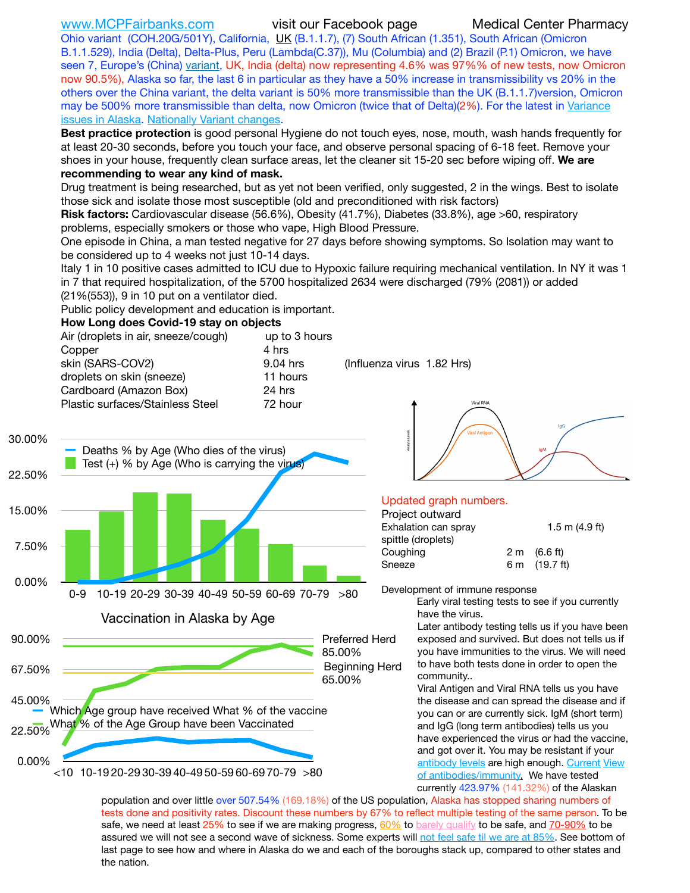[www.MCPFairbanks.com](http://www.MCPFairbanks.com) visit our Facebook page Medical Center Pharmacy

Ohio variant (COH.20G/501Y), California, [UK](https://www.cdc.gov/coronavirus/2019-ncov/transmission/variant-cases.html) (B.1.1.7), (7) South African (1.351), South African (Omicron B.1.1.529), India (Delta), Delta-Plus, Peru (Lambda(C.37)), Mu (Columbia) and (2) Brazil (P.1) Omicron, we have seen 7, Europe's (China) [variant,](https://www.webmd.com/lung/news/20210318/cdc-who-create-threat-levels-for-covid-variants?ecd=wnl_cvd_031921&ctr=wnl-cvd-031921&mb=kYbf7DsHb7YGjh/1RUkcAW0T6iorImAU1TDZh18RYs0=_Support_titleLink_2) UK, India (delta) now representing 4.6% was 97%% of new tests, now Omicron now 90.5%), Alaska so far, the last 6 in particular as they have a 50% increase in transmissibility vs 20% in the others over the China variant, the delta variant is 50% more transmissible than the UK (B.1.1.7)version, Omicron may be 500% more transmissible than delta, now Omicron (twice that of Delta)(2%). For the latest in [Variance](https://akvariants.github.io)  [issues in Alaska](https://akvariants.github.io). [Nationally Variant changes.](https://covid.cdc.gov/covid-data-tracker/#variant-proportions)

**Best practice protection** is good personal Hygiene do not touch eyes, nose, mouth, wash hands frequently for at least 20-30 seconds, before you touch your face, and observe personal spacing of 6-18 feet. Remove your shoes in your house, frequently clean surface areas, let the cleaner sit 15-20 sec before wiping off. **We are recommending to wear any kind of mask.**

Drug treatment is being researched, but as yet not been verified, only suggested, 2 in the wings. Best to isolate those sick and isolate those most susceptible (old and preconditioned with risk factors)

**Risk factors:** Cardiovascular disease (56.6%), Obesity (41.7%), Diabetes (33.8%), age >60, respiratory problems, especially smokers or those who vape, High Blood Pressure.

One episode in China, a man tested negative for 27 days before showing symptoms. So Isolation may want to be considered up to 4 weeks not just 10-14 days.

Italy 1 in 10 positive cases admitted to ICU due to Hypoxic failure requiring mechanical ventilation. In NY it was 1 in 7 that required hospitalization, of the 5700 hospitalized 2634 were discharged (79% (2081)) or added (21%(553)), 9 in 10 put on a ventilator died.

Public policy development and education is important.

### **How Long does Covid-19 stay on objects**

| Air (droplets in air, sneeze/cough)<br>Copper | up to 3 hours<br>4 hrs |                            |  |
|-----------------------------------------------|------------------------|----------------------------|--|
| skin (SARS-COV2)                              | 9.04 hrs               | (Influenza virus 1.82 Hrs) |  |
| droplets on skin (sneeze)                     | 11 hours               |                            |  |
| Cardboard (Amazon Box)                        | 24 hrs                 |                            |  |
| Plastic surfaces/Stainless Steel              | 72 hour                |                            |  |





## Updated graph numbers.

| Project outward      |                        |
|----------------------|------------------------|
| Exhalation can spray | 1.5 m $(4.9$ ft)       |
| spittle (droplets)   |                        |
| Coughing             | $2 \text{ m}$ (6.6 ft) |
| Sneeze               | 6 m (19.7 ft)          |
|                      |                        |

Development of immune response

Early viral testing tests to see if you currently have the virus.

Later antibody testing tells us if you have been exposed and survived. But does not tells us if you have immunities to the virus. We will need to have both tests done in order to open the community..

Viral Antigen and Viral RNA tells us you have the disease and can spread the disease and if you can or are currently sick. IgM (short term) and IgG (long term antibodies) tells us you have experienced the virus or had the vaccine, and got over it. You may be resistant if your [antibody levels](https://www.cdc.gov/coronavirus/2019-ncov/lab/resources/antibody-tests.html) are high enough. [Current](https://l.facebook.com/l.php?u=https://www.itv.com/news/2020-10-26/covid-19-antibody-levels-reduce-over-time-study-finds?fbclid=IwAR3Dapzh1qIH1EIOdUQI2y8THf7jfA4KBCaJz8Qg-8xe1YsrR4nsAHDIXSY&h=AT30nut8pkqp0heVuz5W2rT2WFFm-2Ab52BsJxZZCNlGsX58IpPkuVEPULbIUV_M16MAukx1Kwb657DPXxsgDN1rpOQ4gqBtQsmVYiWpnHPJo2RQsU6CPMd14lgLnQnFWxfVi6zvmw&__tn__=-UK-R&c%5B0%5D=AT1GaRAfR_nGAyqcn7TI1-PpvqOqEKXHnz6TDWvRStMnOSH7boQDvTiwTOc6VId9UES6LKiOmm2m88wKCoolkJyOFvakt2Z1Mw8toYWGGoWW23r0MNVBl7cYJXB_UOvGklNHaNnaNr1_S7NhT3BSykNOBg) View [of antibodies/immunity](https://www.livescience.com/antibodies.html)[.](https://www.itv.com/news/2020-10-26/covid-19-antibody-levels-reduce-over-time-study-finds) We have tested currently 423.97% (141.32%) of the Alaskan

population and over little over 507.54% (169.18%) of the US population, Alaska has stopped sharing numbers of tests done and positivity rates. Discount these numbers by 67% to reflect multiple testing of the same person. To be safe, we need at least 25% to see if we are making progress, [60%](https://www.jhsph.edu/covid-19/articles/achieving-herd-immunity-with-covid19.html) to [barely qualify](https://www.nature.com/articles/d41586-020-02948-4) to be safe, and [70-90%](https://www.mayoclinic.org/herd-immunity-and-coronavirus/art-20486808) to be assured we will not see a second wave of sickness. Some experts will [not feel safe til we are at 85%](https://www.bannerhealth.com/healthcareblog/teach-me/what-is-herd-immunity). See bottom of last page to see how and where in Alaska do we and each of the boroughs stack up, compared to other states and the nation.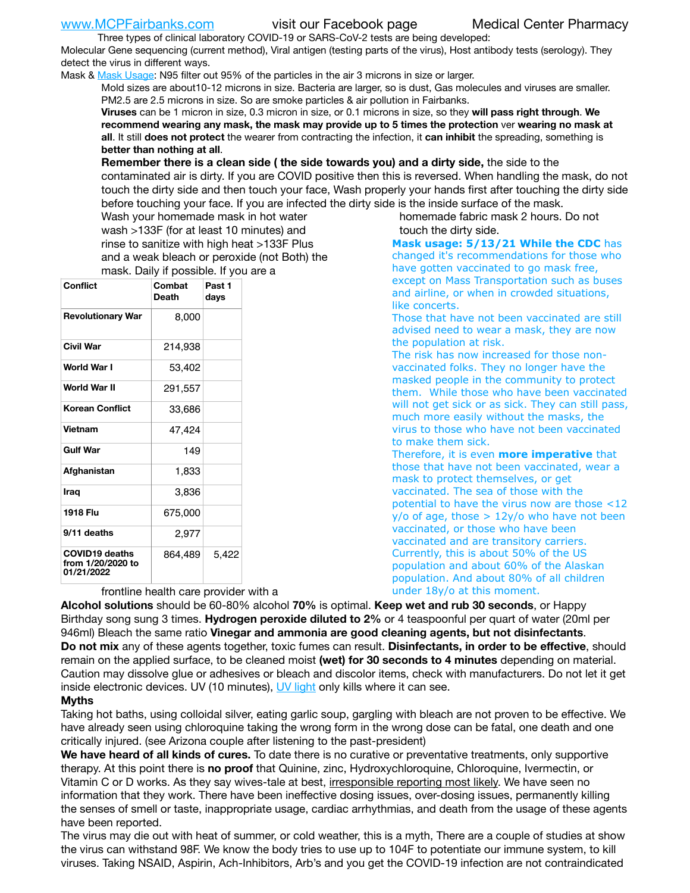Three types of clinical laboratory COVID-19 or SARS-CoV-2 tests are being developed: Molecular Gene sequencing (current method), Viral antigen (testing parts of the virus), Host antibody tests (serology). They detect the virus in different ways.

Mask & [Mask Usage:](https://www.nationalgeographic.com/history/2020/03/how-cities-flattened-curve-1918-spanish-flu-pandemic-coronavirus/) N95 filter out 95% of the particles in the air 3 microns in size or larger.

Mold sizes are about10-12 microns in size. Bacteria are larger, so is dust, Gas molecules and viruses are smaller. PM2.5 are 2.5 microns in size. So are smoke particles & air pollution in Fairbanks.

**Viruses** can be 1 micron in size, 0.3 micron in size, or 0.1 microns in size, so they **will pass right through**. **We recommend wearing any mask, the mask may provide up to 5 times the protection** ver **wearing no mask at all**. It still **does not protect** the wearer from contracting the infection, it **can inhibit** the spreading, something is **better than nothing at all**.

**Remember there is a clean side ( the side towards you) and a dirty side,** the side to the contaminated air is dirty. If you are COVID positive then this is reversed. When handling the mask, do not touch the dirty side and then touch your face, Wash properly your hands first after touching the dirty side before touching your face. If you are infected the dirty side is the inside surface of the mask.

Wash your homemade mask in hot water wash >133F (for at least 10 minutes) and rinse to sanitize with high heat >133F Plus and a weak bleach or peroxide (not Both) the mask. Daily if possible. If you are a

| Conflict                                                 | Combat<br><b>Death</b> | Past 1<br>days |
|----------------------------------------------------------|------------------------|----------------|
| <b>Revolutionary War</b>                                 | 8,000                  |                |
| Civil War                                                | 214,938                |                |
| World War I                                              | 53,402                 |                |
| World War II                                             | 291,557                |                |
| <b>Korean Conflict</b>                                   | 33,686                 |                |
| <b>Vietnam</b>                                           | 47,424                 |                |
| <b>Gulf War</b>                                          | 149                    |                |
| Afghanistan                                              | 1,833                  |                |
| Iraq                                                     | 3,836                  |                |
| 1918 Flu                                                 | 675,000                |                |
| 9/11 deaths                                              | 2,977                  |                |
| <b>COVID19 deaths</b><br>from 1/20/2020 to<br>01/21/2022 | 864,489                | 5,422          |

frontline health care provider with a

homemade fabric mask 2 hours. Do not touch the dirty side.

**Mask usage: 5/13/21 While the CDC** has changed it's recommendations for those who have gotten vaccinated to go mask free, except on Mass Transportation such as buses and airline, or when in crowded situations, like concerts.

Those that have not been vaccinated are still advised need to wear a mask, they are now the population at risk.

The risk has now increased for those nonvaccinated folks. They no longer have the masked people in the community to protect them. While those who have been vaccinated will not get sick or as sick. They can still pass, much more easily without the masks, the virus to those who have not been vaccinated to make them sick.

Therefore, it is even **more imperative** that those that have not been vaccinated, wear a mask to protect themselves, or get vaccinated. The sea of those with the potential to have the virus now are those <12  $y$ /o of age, those  $> 12y$ /o who have not been vaccinated, or those who have been vaccinated and are transitory carriers. Currently, this is about 50% of the US population and about 60% of the Alaskan population. And about 80% of all children under 18y/o at this moment.

**Alcohol solutions** should be 60-80% alcohol **70%** is optimal. **Keep wet and rub 30 seconds**, or Happy Birthday song sung 3 times. **Hydrogen peroxide diluted to 2%** or 4 teaspoonful per quart of water (20ml per 946ml) Bleach the same ratio **Vinegar and ammonia are good cleaning agents, but not disinfectants**. **Do not mix** any of these agents together, toxic fumes can result. **Disinfectants, in order to be effective**, should remain on the applied surface, to be cleaned moist **(wet) for 30 seconds to 4 minutes** depending on material. Caution may dissolve glue or adhesives or bleach and discolor items, check with manufacturers. Do not let it get inside electronic devices. UV (10 minutes), [UV light](http://www.docreviews.me/best-uv-boxes-2020/?fbclid=IwAR3bvFtXB48OoBBSvYvTEnKuHNPbipxM6jUo82QUSw9wckxjC7wwRZWabGw) only kills where it can see.

## **Myths**

Taking hot baths, using colloidal silver, eating garlic soup, gargling with bleach are not proven to be effective. We have already seen using chloroquine taking the wrong form in the wrong dose can be fatal, one death and one critically injured. (see Arizona couple after listening to the past-president)

**We have heard of all kinds of cures.** To date there is no curative or preventative treatments, only supportive therapy. At this point there is **no proof** that Quinine, zinc, Hydroxychloroquine, Chloroquine, Ivermectin, or Vitamin C or D works. As they say wives-tale at best, *irresponsible reporting most likely*. We have seen no information that they work. There have been ineffective dosing issues, over-dosing issues, permanently killing the senses of smell or taste, inappropriate usage, cardiac arrhythmias, and death from the usage of these agents have been reported.

The virus may die out with heat of summer, or cold weather, this is a myth, There are a couple of studies at show the virus can withstand 98F. We know the body tries to use up to 104F to potentiate our immune system, to kill viruses. Taking NSAID, Aspirin, Ach-Inhibitors, Arb's and you get the COVID-19 infection are not contraindicated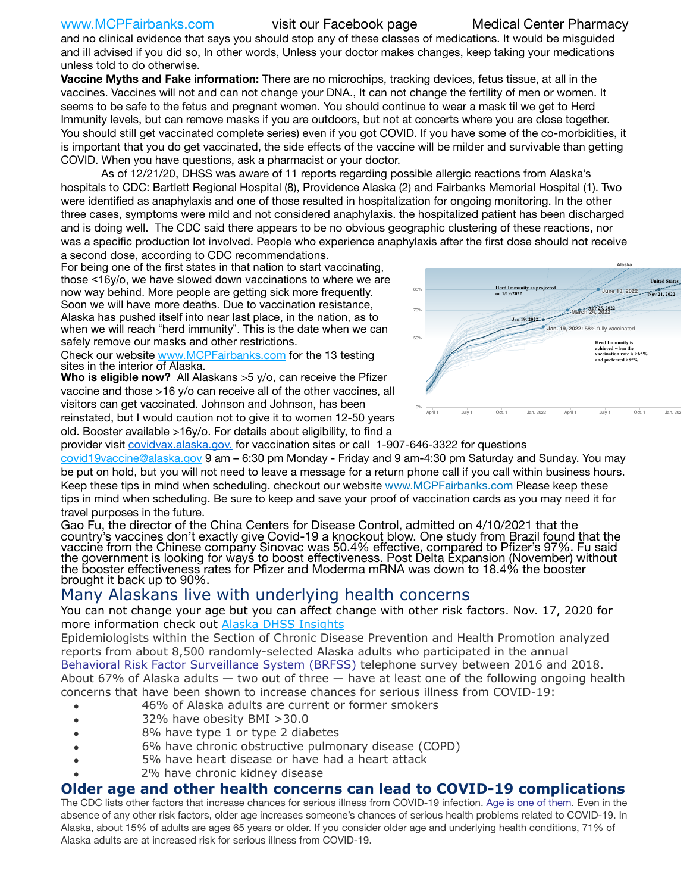[www.MCPFairbanks.com](http://www.MCPFairbanks.com) visit our Facebook page Medical Center Pharmacy

and no clinical evidence that says you should stop any of these classes of medications. It would be misguided and ill advised if you did so, In other words, Unless your doctor makes changes, keep taking your medications unless told to do otherwise.

**Vaccine Myths and Fake information:** There are no microchips, tracking devices, fetus tissue, at all in the vaccines. Vaccines will not and can not change your DNA., It can not change the fertility of men or women. It seems to be safe to the fetus and pregnant women. You should continue to wear a mask til we get to Herd Immunity levels, but can remove masks if you are outdoors, but not at concerts where you are close together. You should still get vaccinated complete series) even if you got COVID. If you have some of the co-morbidities, it is important that you do get vaccinated, the side effects of the vaccine will be milder and survivable than getting COVID. When you have questions, ask a pharmacist or your doctor.

As of 12/21/20, DHSS was aware of 11 reports regarding possible allergic reactions from Alaska's hospitals to CDC: Bartlett Regional Hospital (8), Providence Alaska (2) and Fairbanks Memorial Hospital (1). Two were identified as anaphylaxis and one of those resulted in hospitalization for ongoing monitoring. In the other three cases, symptoms were mild and not considered anaphylaxis. the hospitalized patient has been discharged and is doing well. The CDC said there appears to be no obvious geographic clustering of these reactions, nor was a specific production lot involved. People who experience anaphylaxis after the first dose should not receive a second dose, according to CDC recommendations.

For being one of the first states in that nation to start vaccinating, those <16y/o, we have slowed down vaccinations to where we are now way behind. More people are getting sick more frequently. Soon we will have more deaths. Due to vaccination resistance, Alaska has pushed itself into near last place, in the nation, as to when we will reach "herd immunity". This is the date when we can safely remove our masks and other restrictions.

Check our website [www.MCPFairbanks.com](http://www.MCPFairbanks.com) for the 13 testing sites in the interior of Alaska.

**Who is eligible now?** All Alaskans >5 y/o, can receive the Pfizer vaccine and those >16 y/o can receive all of the other vaccines, all visitors can get vaccinated. Johnson and Johnson, has been reinstated, but I would caution not to give it to women 12-50 years old. Booster available >16y/o. For details about eligibility, to find a



provider visit [covidvax.alaska.gov.](https://lnks.gd/l/eyJhbGciOiJIUzI1NiJ9.eyJidWxsZXRpbl9saW5rX2lkIjoxMDYsInVyaSI6ImJwMjpjbGljayIsImJ1bGxldGluX2lkIjoiMjAyMTAxMjguMzQwODU3NjEiLCJ1cmwiOiJodHRwOi8vZGhzcy5hbGFza2EuZ292L2RwaC9FcGkvaWQvUGFnZXMvQ09WSUQtMTkvdmFjY2luZS5hc3B4In0.-Xwhl42jAWOMS7ewfS85uxwrwjohCso3Sb81DuDKtxU/s/500544915/br/93796640171-l) for vaccination sites or call 1-907-646-3322 for questions

[covid19vaccine@alaska.gov](mailto:covid19vaccine@alaska.gov?subject=COVID19%20Vaccine%20questions) 9 am – 6:30 pm Monday - Friday and 9 am-4:30 pm Saturday and Sunday. You may be put on hold, but you will not need to leave a message for a return phone call if you call within business hours. Keep these tips in mind when scheduling. checkout our website [www.MCPFairbanks.com](http://www.MCPFairbanks.com) Please keep these tips in mind when scheduling. Be sure to keep and save your proof of vaccination cards as you may need it for travel purposes in the future.

Gao Fu, the director of the China Centers for Disease Control, admitted on 4/10/2021 that the country's vaccines don't exactly give Covid-19 a knockout blow. One study from Brazil found that the vaccine from the Chinese company Sinovac was 50.4% effective, compared to Pfizer's 97%. Fu said the government is looking for ways to boost effectiveness. Post Delta Expansion (November) without<br>the booster effectiveness rates for Pfizer and Moderma mRNA was down to 18.4% the booster brought it back up to 90%.

# Many Alaskans live with underlying health concerns

You can not change your age but you can affect change with other risk factors. Nov. 17, 2020 for more information check out [Alaska DHSS Insights](http://dhss.alaska.gov/dph/Epi/id/Pages/COVID-19/blog/20201117.aspx)

Epidemiologists within the Section of Chronic Disease Prevention and Health Promotion analyzed reports from about 8,500 randomly-selected Alaska adults who participated in the annual [Behavioral Risk Factor Surveillance System \(BRFSS\)](http://dhss.alaska.gov/dph/Chronic/Pages/brfss/default.aspx) telephone survey between 2016 and 2018. About 67% of Alaska adults — two out of three — have at least one of the following ongoing health concerns that have been shown to increase chances for serious illness from COVID-19:

- 46% of Alaska adults are current or former smokers
- 32% have obesity BMI >30.0
- 8% have type 1 or type 2 diabetes
- 6% have chronic obstructive pulmonary disease (COPD)
- 5% have heart disease or have had a heart attack
- 2% have chronic kidney disease

# **Older age and other health concerns can lead to COVID-19 complications**

The CDC lists other factors that increase chances for serious illness from COVID-19 infection. [Age is one of them](https://www.cdc.gov/coronavirus/2019-ncov/need-extra-precautions/older-adults.html). Even in the absence of any other risk factors, older age increases someone's chances of serious health problems related to COVID-19. In Alaska, about 15% of adults are ages 65 years or older. If you consider older age and underlying health conditions, 71% of Alaska adults are at increased risk for serious illness from COVID-19.